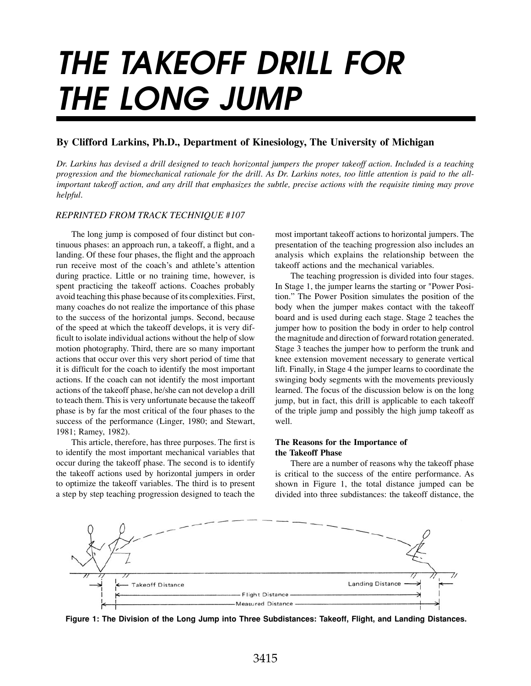# THE TAKEOFF DRILL FOR THE LONG JUMP

# **By Clifford Larkins, Ph.D., Department of Kinesiology, The University of Michigan**

*Dr. Larkins has devised a drill designed to teach horizontal jumpers the proper takeoff action. Included is a teaching progression and the biomechanical rationale for the drill. As Dr. Larkins notes, too little attention is paid to the allimportant takeoff action, and any drill that emphasizes the subtle, precise actions with the requisite timing may prove helpful.*

## *REPRINTED FROM TRACK TECHNIQUE #107*

 The long jump is composed of four distinct but continuous phases: an approach run, a takeoff, a flight, and a landing. Of these four phases, the flight and the approach run receive most of the coach's and athlete's attention during practice. Little or no training time, however, is spent practicing the takeoff actions. Coaches probably avoid teaching this phase because of its complexities. First, many coaches do not realize the importance of this phase to the success of the horizontal jumps. Second, because of the speed at which the takeoff develops, it is very difficult to isolate individual actions without the help of slow motion photography. Third, there are so many important actions that occur over this very short period of time that it is difficult for the coach to identify the most important actions. If the coach can not identify the most important actions of the takeoff phase, he/she can not develop a drill to teach them. This is very unfortunate because the takeoff phase is by far the most critical of the four phases to the success of the performance (Linger, 1980; and Stewart, 1981; Ramey, 1982).

 This article, therefore, has three purposes. The first is to identify the most important mechanical variables that occur during the takeoff phase. The second is to identify the takeoff actions used by horizontal jumpers in order to optimize the takeoff variables. The third is to present a step by step teaching progression designed to teach the

most important takeoff actions to horizontal jumpers. The presentation of the teaching progression also includes an analysis which explains the relationship between the takeoff actions and the mechanical variables.

 The teaching progression is divided into four stages. In Stage 1, the jumper learns the starting or "Power Position." The Power Position simulates the position of the body when the jumper makes contact with the takeoff board and is used during each stage. Stage 2 teaches the jumper how to position the body in order to help control the magnitude and direction of forward rotation generated. Stage 3 teaches the jumper how to perform the trunk and knee extension movement necessary to generate vertical lift. Finally, in Stage 4 the jumper learns to coordinate the swinging body segments with the movements previously learned. The focus of the discussion below is on the long jump, but in fact, this drill is applicable to each takeoff of the triple jump and possibly the high jump takeoff as well.

# **The Reasons for the Importance of the Takeoff Phase**

 There are a number of reasons why the takeoff phase is critical to the success of the entire performance. As shown in Figure 1, the total distance jumped can be divided into three subdistances: the takeoff distance, the



**Figure 1: The Division of the Long Jump into Three Subdistances: Takeoff, Flight, and Landing Distances.**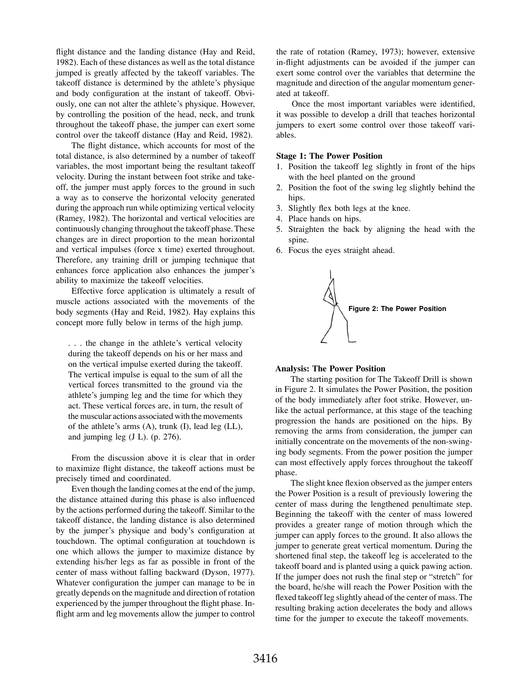flight distance and the landing distance (Hay and Reid, 1982). Each of these distances as well as the total distance jumped is greatly affected by the takeoff variables. The takeoff distance is determined by the athlete's physique and body configuration at the instant of takeoff. Obviously, one can not alter the athlete's physique. However, by controlling the position of the head, neck, and trunk throughout the takeoff phase, the jumper can exert some control over the takeoff distance (Hay and Reid, 1982).

 The flight distance, which accounts for most of the total distance, is also determined by a number of takeoff variables, the most important being the resultant takeoff velocity. During the instant between foot strike and takeoff, the jumper must apply forces to the ground in such a way as to conserve the horizontal velocity generated during the approach run while optimizing vertical velocity (Ramey, 1982). The horizontal and vertical velocities are continuously changing throughout the takeoff phase. These changes are in direct proportion to the mean horizontal and vertical impulses (force x time) exerted throughout. Therefore, any training drill or jumping technique that enhances force application also enhances the jumper's ability to maximize the takeoff velocities.

 Effective force application is ultimately a result of muscle actions associated with the movements of the body segments (Hay and Reid, 1982). Hay explains this concept more fully below in terms of the high jump.

. . . the change in the athlete's vertical velocity during the takeoff depends on his or her mass and on the vertical impulse exerted during the takeoff. The vertical impulse is equal to the sum of all the vertical forces transmitted to the ground via the athlete's jumping leg and the time for which they act. These vertical forces are, in turn, the result of the muscular actions associated with the movements of the athlete's arms (A), trunk (I), lead leg (LL), and jumping leg (J L). (p. 276).

 From the discussion above it is clear that in order to maximize flight distance, the takeoff actions must be precisely timed and coordinated.

 Even though the landing comes at the end of the jump, the distance attained during this phase is also influenced by the actions performed during the takeoff. Similar to the takeoff distance, the landing distance is also determined by the jumper's physique and body's configuration at touchdown. The optimal configuration at touchdown is one which allows the jumper to maximize distance by extending his/her legs as far as possible in front of the center of mass without falling backward (Dyson, 1977). Whatever configuration the jumper can manage to be in greatly depends on the magnitude and direction of rotation experienced by the jumper throughout the flight phase. Inflight arm and leg movements allow the jumper to control

the rate of rotation (Ramey, 1973); however, extensive in-flight adjustments can be avoided if the jumper can exert some control over the variables that determine the magnitude and direction of the angular momentum generated at takeoff.

 Once the most important variables were identified, it was possible to develop a drill that teaches horizontal jumpers to exert some control over those takeoff variables.

#### **Stage 1: The Power Position**

- 1. Position the takeoff leg slightly in front of the hips with the heel planted on the ground
- 2. Position the foot of the swing leg slightly behind the hips.
- 3. Slightly flex both legs at the knee.
- 4. Place hands on hips.
- 5. Straighten the back by aligning the head with the spine.
- 6. Focus the eyes straight ahead.



#### **Analysis: The Power Position**

 The starting position for The Takeoff Drill is shown in Figure 2. It simulates the Power Position, the position of the body immediately after foot strike. However, unlike the actual performance, at this stage of the teaching progression the hands are positioned on the hips. By removing the arms from consideration, the jumper can initially concentrate on the movements of the non-swinging body segments. From the power position the jumper can most effectively apply forces throughout the takeoff phase.

 The slight knee flexion observed as the jumper enters the Power Position is a result of previously lowering the center of mass during the lengthened penultimate step. Beginning the takeoff with the center of mass lowered provides a greater range of motion through which the jumper can apply forces to the ground. It also allows the jumper to generate great vertical momentum. During the shortened final step, the takeoff leg is accelerated to the takeoff board and is planted using a quick pawing action. If the jumper does not rush the final step or "stretch" for the board, he/she will reach the Power Position with the flexed takeoff leg slightly ahead of the center of mass. The resulting braking action decelerates the body and allows time for the jumper to execute the takeoff movements.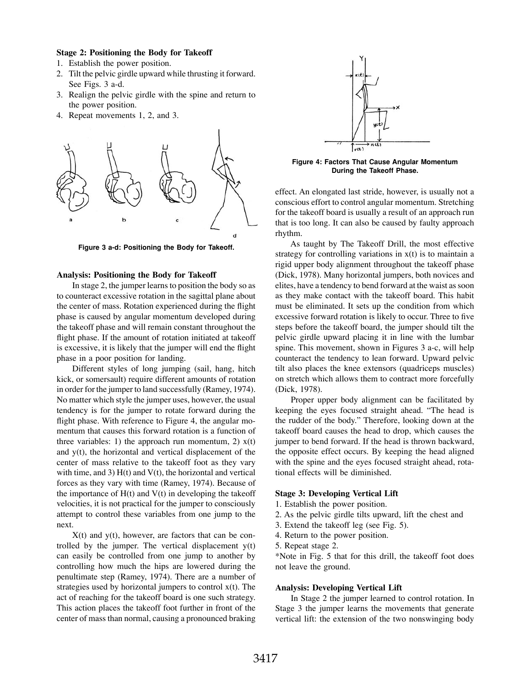## **Stage 2: Positioning the Body for Takeoff**

- 1. Establish the power position.
- 2. Tilt the pelvic girdle upward while thrusting it forward. See Figs. 3 a-d.
- 3. Realign the pelvic girdle with the spine and return to the power position.
- 4. Repeat movements 1, 2, and 3.



**Figure 3 a-d: Positioning the Body for Takeoff.**

#### **Analysis: Positioning the Body for Takeoff**

 In stage 2, the jumper learns to position the body so as to counteract excessive rotation in the sagittal plane about the center of mass. Rotation experienced during the flight phase is caused by angular momentum developed during the takeoff phase and will remain constant throughout the flight phase. If the amount of rotation initiated at takeoff is excessive, it is likely that the jumper will end the flight phase in a poor position for landing.

 Different styles of long jumping (sail, hang, hitch kick, or somersault) require different amounts of rotation in order for the jumper to land successfully (Ramey, 1974). No matter which style the jumper uses, however, the usual tendency is for the jumper to rotate forward during the flight phase. With reference to Figure 4, the angular momentum that causes this forward rotation is a function of three variables: 1) the approach run momentum, 2)  $x(t)$ and y(t), the horizontal and vertical displacement of the center of mass relative to the takeoff foot as they vary with time, and 3)  $H(t)$  and  $V(t)$ , the horizontal and vertical forces as they vary with time (Ramey, 1974). Because of the importance of  $H(t)$  and  $V(t)$  in developing the takeoff velocities, it is not practical for the jumper to consciously attempt to control these variables from one jump to the next.

 $X(t)$  and  $y(t)$ , however, are factors that can be controlled by the jumper. The vertical displacement y(t) can easily be controlled from one jump to another by controlling how much the hips are lowered during the penultimate step (Ramey, 1974). There are a number of strategies used by horizontal jumpers to control x(t). The act of reaching for the takeoff board is one such strategy. This action places the takeoff foot further in front of the center of mass than normal, causing a pronounced braking



**Figure 4: Factors That Cause Angular Momentum During the Takeoff Phase.**

effect. An elongated last stride, however, is usually not a conscious effort to control angular momentum. Stretching for the takeoff board is usually a result of an approach run that is too long. It can also be caused by faulty approach rhythm.

 As taught by The Takeoff Drill, the most effective strategy for controlling variations in  $x(t)$  is to maintain a rigid upper body alignment throughout the takeoff phase (Dick, 1978). Many horizontal jumpers, both novices and elites, have a tendency to bend forward at the waist as soon as they make contact with the takeoff board. This habit must be eliminated. It sets up the condition from which excessive forward rotation is likely to occur. Three to five steps before the takeoff board, the jumper should tilt the pelvic girdle upward placing it in line with the lumbar spine. This movement, shown in Figures 3 a-c, will help counteract the tendency to lean forward. Upward pelvic tilt also places the knee extensors (quadriceps muscles) on stretch which allows them to contract more forcefully (Dick, 1978).

 Proper upper body alignment can be facilitated by keeping the eyes focused straight ahead. "The head is the rudder of the body." Therefore, looking down at the takeoff board causes the head to drop, which causes the jumper to bend forward. If the head is thrown backward, the opposite effect occurs. By keeping the head aligned with the spine and the eyes focused straight ahead, rotational effects will be diminished.

#### **Stage 3: Developing Vertical Lift**

- 1. Establish the power position.
- 2. As the pelvic girdle tilts upward, lift the chest and
- 3. Extend the takeoff leg (see Fig. 5).
- 4. Return to the power position.
- 5. Repeat stage 2.

\*Note in Fig. 5 that for this drill, the takeoff foot does not leave the ground.

#### **Analysis: Developing Vertical Lift**

 In Stage 2 the jumper learned to control rotation. In Stage 3 the jumper learns the movements that generate vertical lift: the extension of the two nonswinging body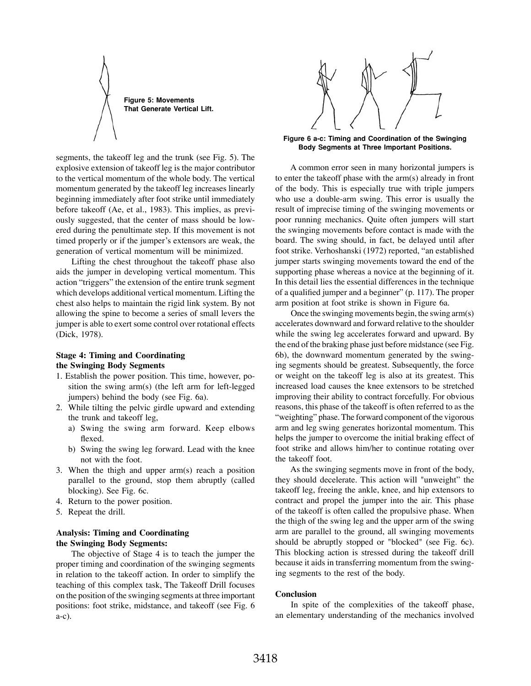**Figure 5: Movements That Generate Vertical Lift.**

segments, the takeoff leg and the trunk (see Fig. 5). The explosive extension of takeoff leg is the major contributor to the vertical momentum of the whole body. The vertical momentum generated by the takeoff leg increases linearly beginning immediately after foot strike until immediately before takeoff (Ae, et al., 1983). This implies, as previously suggested, that the center of mass should be lowered during the penultimate step. If this movement is not timed properly or if the jumper's extensors are weak, the generation of vertical momentum will be minimized.

 Lifting the chest throughout the takeoff phase also aids the jumper in developing vertical momentum. This action "triggers" the extension of the entire trunk segment which develops additional vertical momentum. Lifting the chest also helps to maintain the rigid link system. By not allowing the spine to become a series of small levers the jumper is able to exert some control over rotational effects (Dick, 1978).

## **Stage 4: Timing and Coordinating the Swinging Body Segments**

- 1. Establish the power position. This time, however, position the swing arm(s) (the left arm for left-legged jumpers) behind the body (see Fig. 6a).
- 2. While tilting the pelvic girdle upward and extending the trunk and takeoff leg,
	- a) Swing the swing arm forward. Keep elbows flexed.
	- b) Swing the swing leg forward. Lead with the knee not with the foot.
- 3. When the thigh and upper arm(s) reach a position parallel to the ground, stop them abruptly (called blocking). See Fig. 6c.
- 4. Return to the power position.
- 5. Repeat the drill.

# **Analysis: Timing and Coordinating the Swinging Body Segments:**

 The objective of Stage 4 is to teach the jumper the proper timing and coordination of the swinging segments in relation to the takeoff action. In order to simplify the teaching of this complex task, The Takeoff Drill focuses on the position of the swinging segments at three important positions: foot strike, midstance, and takeoff (see Fig. 6 a-c).



**Figure 6 a-c: Timing and Coordination of the Swinging Body Segments at Three Important Positions.**

 A common error seen in many horizontal jumpers is to enter the takeoff phase with the arm(s) already in front of the body. This is especially true with triple jumpers who use a double-arm swing. This error is usually the result of imprecise timing of the swinging movements or poor running mechanics. Quite often jumpers will start the swinging movements before contact is made with the board. The swing should, in fact, be delayed until after foot strike. Verhoshanski (1972) reported, "an established jumper starts swinging movements toward the end of the supporting phase whereas a novice at the beginning of it. In this detail lies the essential differences in the technique of a qualified jumper and a beginner" (p. 117). The proper arm position at foot strike is shown in Figure 6a.

 Once the swinging movements begin, the swing arm(s) accelerates downward and forward relative to the shoulder while the swing leg accelerates forward and upward. By the end of the braking phase just before midstance (see Fig. 6b), the downward momentum generated by the swinging segments should be greatest. Subsequently, the force or weight on the takeoff leg is also at its greatest. This increased load causes the knee extensors to be stretched improving their ability to contract forcefully. For obvious reasons, this phase of the takeoff is often referred to as the "weighting" phase. The forward component of the vigorous arm and leg swing generates horizontal momentum. This helps the jumper to overcome the initial braking effect of foot strike and allows him/her to continue rotating over the takeoff foot.

 As the swinging segments move in front of the body, they should decelerate. This action will "unweight" the takeoff leg, freeing the ankle, knee, and hip extensors to contract and propel the jumper into the air. This phase of the takeoff is often called the propulsive phase. When the thigh of the swing leg and the upper arm of the swing arm are parallel to the ground, all swinging movements should be abruptly stopped or "blocked" (see Fig. 6c). This blocking action is stressed during the takeoff drill because it aids in transferring momentum from the swinging segments to the rest of the body.

### **Conclusion**

 In spite of the complexities of the takeoff phase, an elementary understanding of the mechanics involved